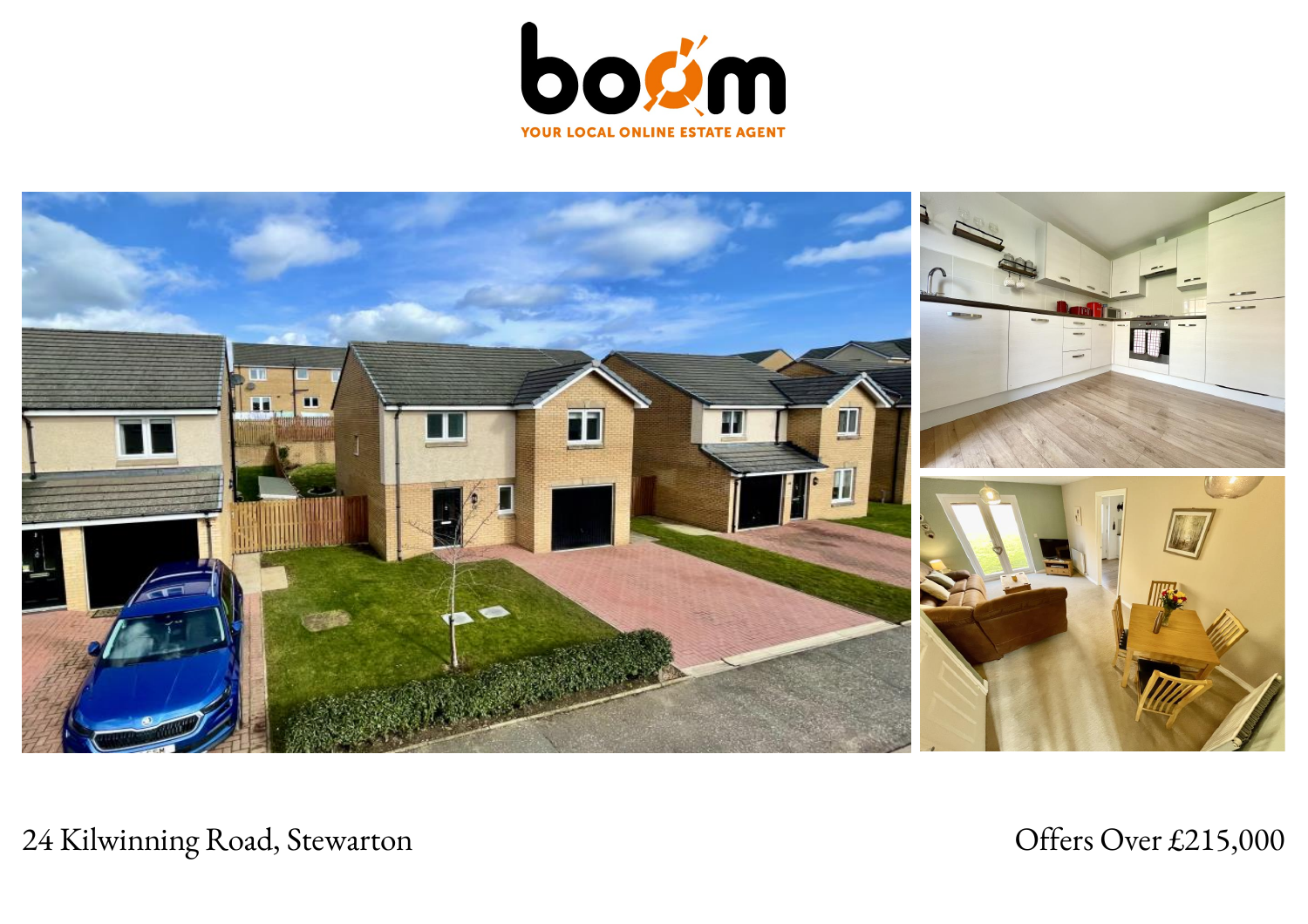



24 Kilwinning Road, Stewarton **Offers** Over £215,000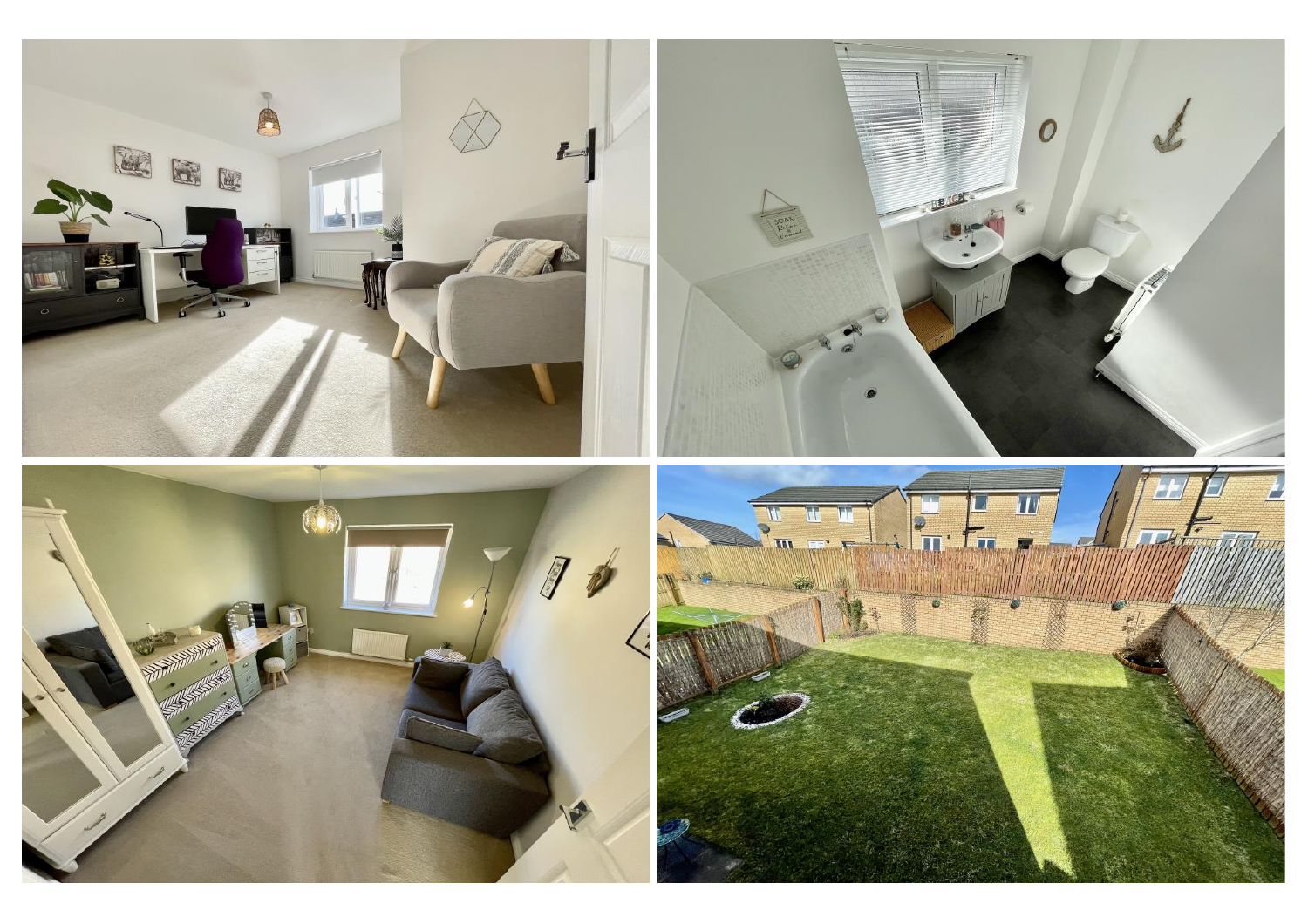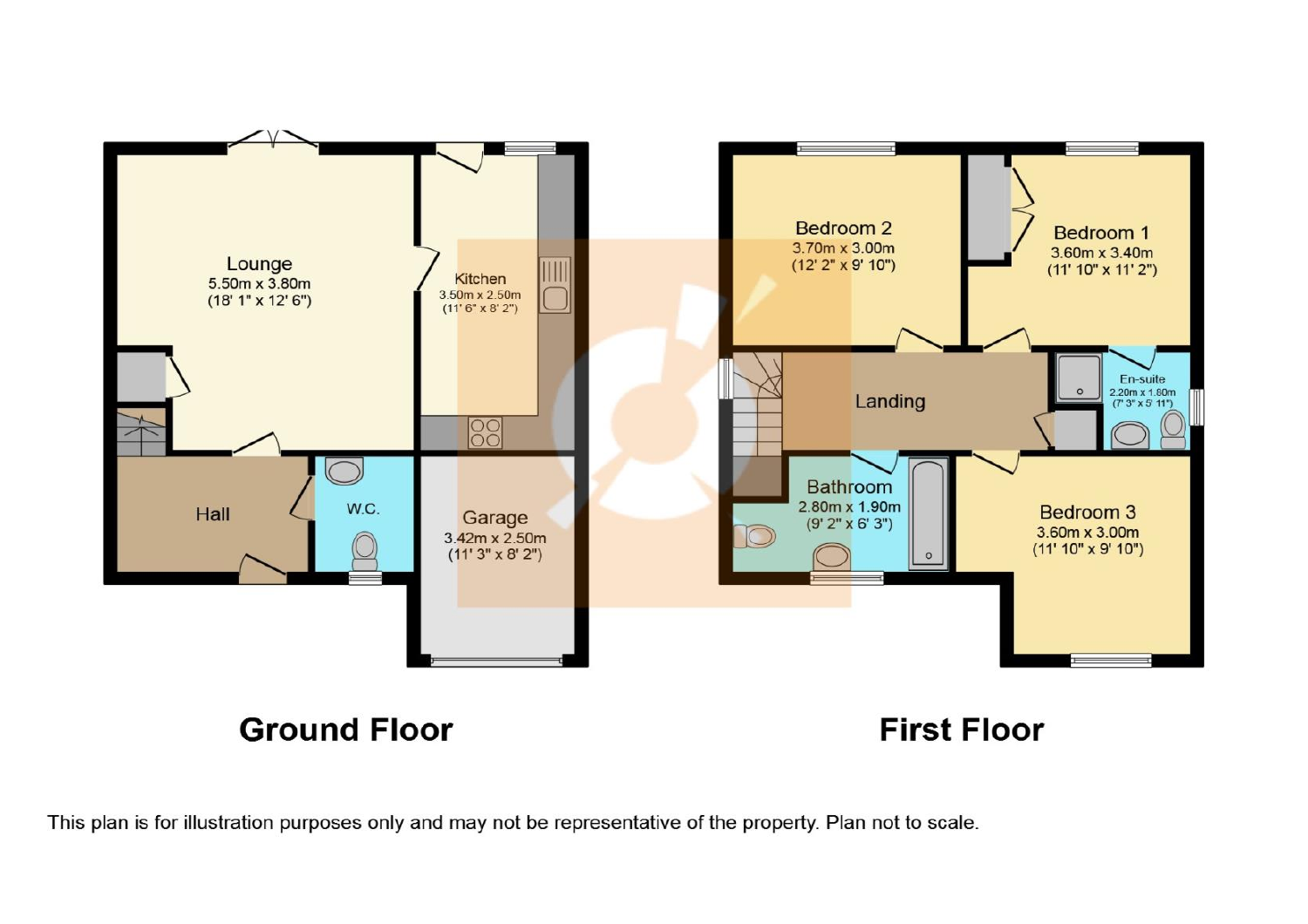

**Ground Floor** 

**First Floor** 

This plan is for illustration purposes only and may not be representative of the property. Plan not to scale.